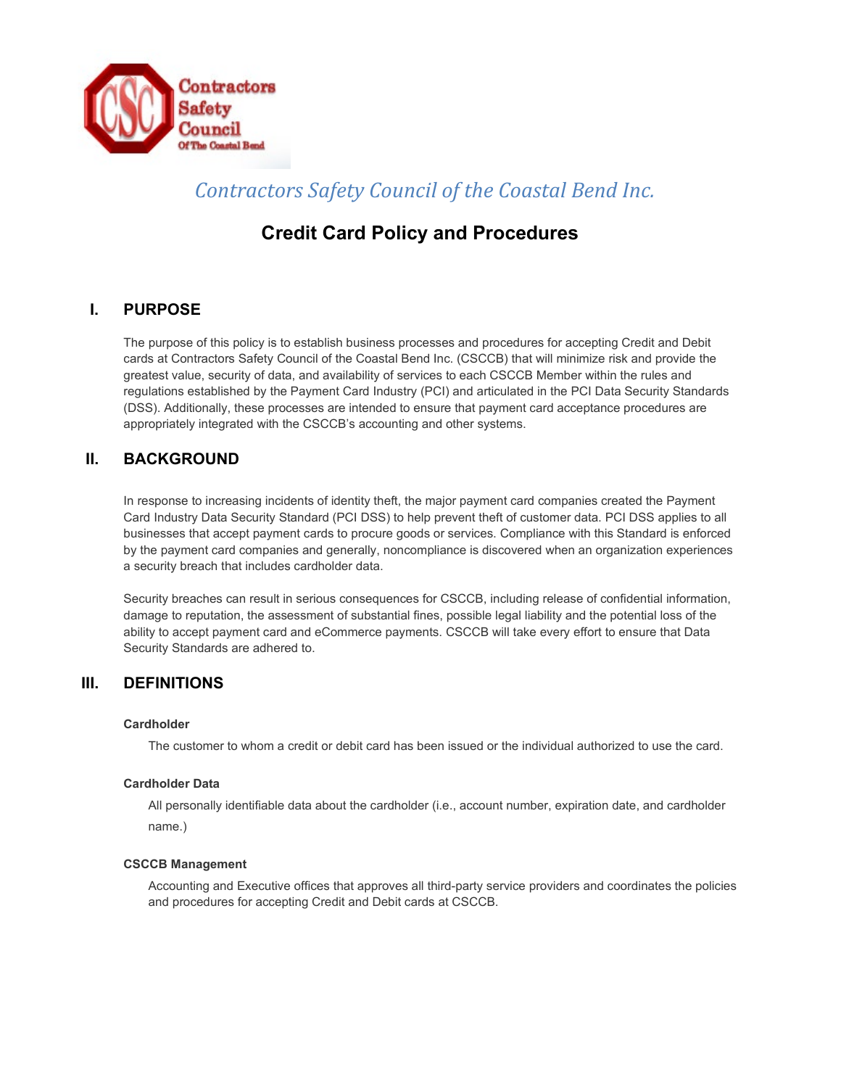

# *Contractors Safety Council of the Coastal Bend Inc.*

# **Credit Card Policy and Procedures**

## **I. PURPOSE**

The purpose of this policy is to establish business processes and procedures for accepting Credit and Debit cards at Contractors Safety Council of the Coastal Bend Inc. (CSCCB) that will minimize risk and provide the greatest value, security of data, and availability of services to each CSCCB Member within the rules and regulations established by the Payment Card Industry (PCI) and articulated in the PCI Data Security Standards (DSS). Additionally, these processes are intended to ensure that payment card acceptance procedures are appropriately integrated with the CSCCB's accounting and other systems.

## **II. BACKGROUND**

In response to increasing incidents of identity theft, the major payment card companies created the Payment Card Industry Data Security Standard (PCI DSS) to help prevent theft of customer data. PCI DSS applies to all businesses that accept payment cards to procure goods or services. Compliance with this Standard is enforced by the payment card companies and generally, noncompliance is discovered when an organization experiences a security breach that includes cardholder data.

Security breaches can result in serious consequences for CSCCB, including release of confidential information, damage to reputation, the assessment of substantial fines, possible legal liability and the potential loss of the ability to accept payment card and eCommerce payments. CSCCB will take every effort to ensure that Data Security Standards are adhered to.

### **III. DEFINITIONS**

#### **Cardholder**

The customer to whom a credit or debit card has been issued or the individual authorized to use the card.

#### **Cardholder Data**

All personally identifiable data about the cardholder (i.e., account number, expiration date, and cardholder name.)

#### **CSCCB Management**

Accounting and Executive offices that approves all third-party service providers and coordinates the policies and procedures for accepting Credit and Debit cards at CSCCB.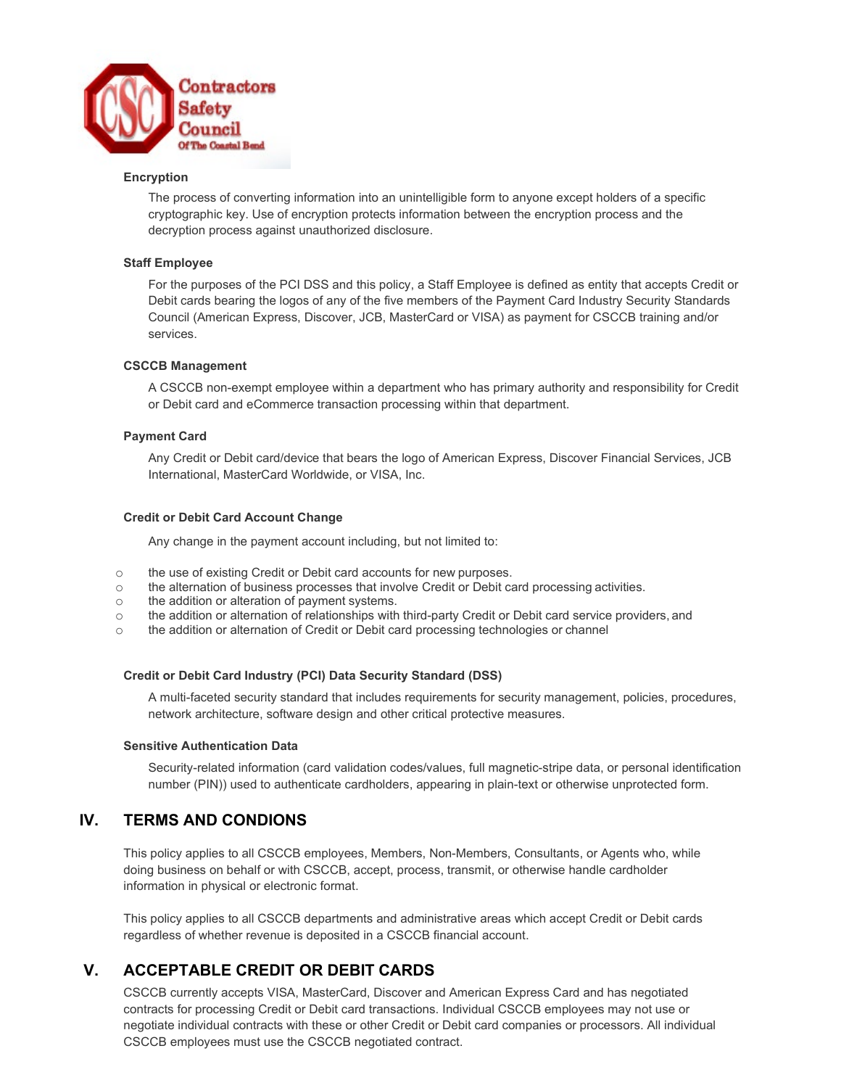

#### **Encryption**

The process of converting information into an unintelligible form to anyone except holders of a specific cryptographic key. Use of encryption protects information between the encryption process and the decryption process against unauthorized disclosure.

#### **Staff Employee**

For the purposes of the PCI DSS and this policy, a Staff Employee is defined as entity that accepts Credit or Debit cards bearing the logos of any of the five members of the Payment Card Industry Security Standards Council (American Express, Discover, JCB, MasterCard or VISA) as payment for CSCCB training and/or services.

#### **CSCCB Management**

A CSCCB non-exempt employee within a department who has primary authority and responsibility for Credit or Debit card and eCommerce transaction processing within that department.

#### **Payment Card**

Any Credit or Debit card/device that bears the logo of American Express, Discover Financial Services, JCB International, MasterCard Worldwide, or VISA, Inc.

#### **Credit or Debit Card Account Change**

Any change in the payment account including, but not limited to:

- o the use of existing Credit or Debit card accounts for new purposes.<br>
the alternation of business processes that involve Credit or Debit ca
- $\circ$  the alternation of business processes that involve Credit or Debit card processing activities.<br>  $\circ$  the addition or alteration of payment systems.
- the addition or alteration of payment systems.
- o the addition or alternation of relationships with third-party Credit or Debit card service providers, and
- o the addition or alternation of Credit or Debit card processing technologies or channel

#### **Credit or Debit Card Industry (PCI) Data Security Standard (DSS)**

A multi-faceted security standard that includes requirements for security management, policies, procedures, network architecture, software design and other critical protective measures.

#### **Sensitive Authentication Data**

Security-related information (card validation codes/values, full magnetic-stripe data, or personal identification number (PIN)) used to authenticate cardholders, appearing in plain-text or otherwise unprotected form.

### **IV. TERMS AND CONDIONS**

This policy applies to all CSCCB employees, Members, Non-Members, Consultants, or Agents who, while doing business on behalf or with CSCCB, accept, process, transmit, or otherwise handle cardholder information in physical or electronic format.

This policy applies to all CSCCB departments and administrative areas which accept Credit or Debit cards regardless of whether revenue is deposited in a CSCCB financial account.

## **V. ACCEPTABLE CREDIT OR DEBIT CARDS**

CSCCB currently accepts VISA, MasterCard, Discover and American Express Card and has negotiated contracts for processing Credit or Debit card transactions. Individual CSCCB employees may not use or negotiate individual contracts with these or other Credit or Debit card companies or processors. All individual CSCCB employees must use the CSCCB negotiated contract.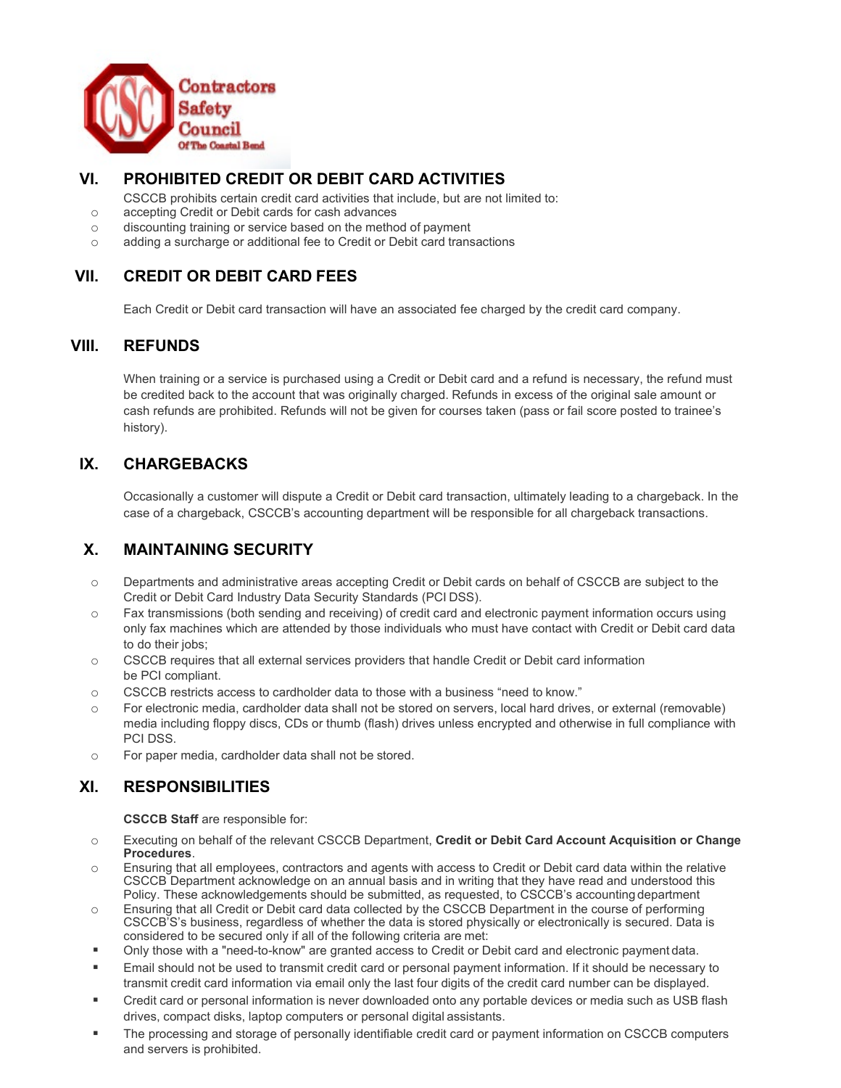

### **VI. PROHIBITED CREDIT OR DEBIT CARD ACTIVITIES**

- CSCCB prohibits certain credit card activities that include, but are not limited to:
- o accepting Credit or Debit cards for cash advances
- o discounting training or service based on the method of payment
- o adding a surcharge or additional fee to Credit or Debit card transactions

## **VII. CREDIT OR DEBIT CARD FEES**

Each Credit or Debit card transaction will have an associated fee charged by the credit card company.

### **VIII. REFUNDS**

When training or a service is purchased using a Credit or Debit card and a refund is necessary, the refund must be credited back to the account that was originally charged. Refunds in excess of the original sale amount or cash refunds are prohibited. Refunds will not be given for courses taken (pass or fail score posted to trainee's history).

### **IX. CHARGEBACKS**

Occasionally a customer will dispute a Credit or Debit card transaction, ultimately leading to a chargeback. In the case of a chargeback, CSCCB's accounting department will be responsible for all chargeback transactions.

# **X. MAINTAINING SECURITY**

- o Departments and administrative areas accepting Credit or Debit cards on behalf of CSCCB are subject to the Credit or Debit Card Industry Data Security Standards (PCI DSS).
- o Fax transmissions (both sending and receiving) of credit card and electronic payment information occurs using only fax machines which are attended by those individuals who must have contact with Credit or Debit card data to do their jobs;
- $\circ$  CSCCB requires that all external services providers that handle Credit or Debit card information be PCI compliant.
- o CSCCB restricts access to cardholder data to those with a business "need to know."
- o For electronic media, cardholder data shall not be stored on servers, local hard drives, or external (removable) media including floppy discs, CDs or thumb (flash) drives unless encrypted and otherwise in full compliance with PCI DSS.
- o For paper media, cardholder data shall not be stored.

## **XI. RESPONSIBILITIES**

**CSCCB Staff** are responsible for:

- o Executing on behalf of the relevant CSCCB Department, **Credit or Debit Card Account Acquisition or Change Procedures**.
- o Ensuring that all employees, contractors and agents with access to Credit or Debit card data within the relative CSCCB Department acknowledge on an annual basis and in writing that they have read and understood this Policy. These acknowledgements should be submitted, as requested, to CSCCB's accounting department
- o Ensuring that all Credit or Debit card data collected by the CSCCB Department in the course of performing CSCCB'S's business, regardless of whether the data is stored physically or electronically is secured. Data is considered to be secured only if all of the following criteria are met:
- Only those with a "need-to-know" are granted access to Credit or Debit card and electronic payment data.
- Email should not be used to transmit credit card or personal payment information. If it should be necessary to transmit credit card information via email only the last four digits of the credit card number can be displayed.
- Credit card or personal information is never downloaded onto any portable devices or media such as USB flash drives, compact disks, laptop computers or personal digital assistants.
- The processing and storage of personally identifiable credit card or payment information on CSCCB computers and servers is prohibited.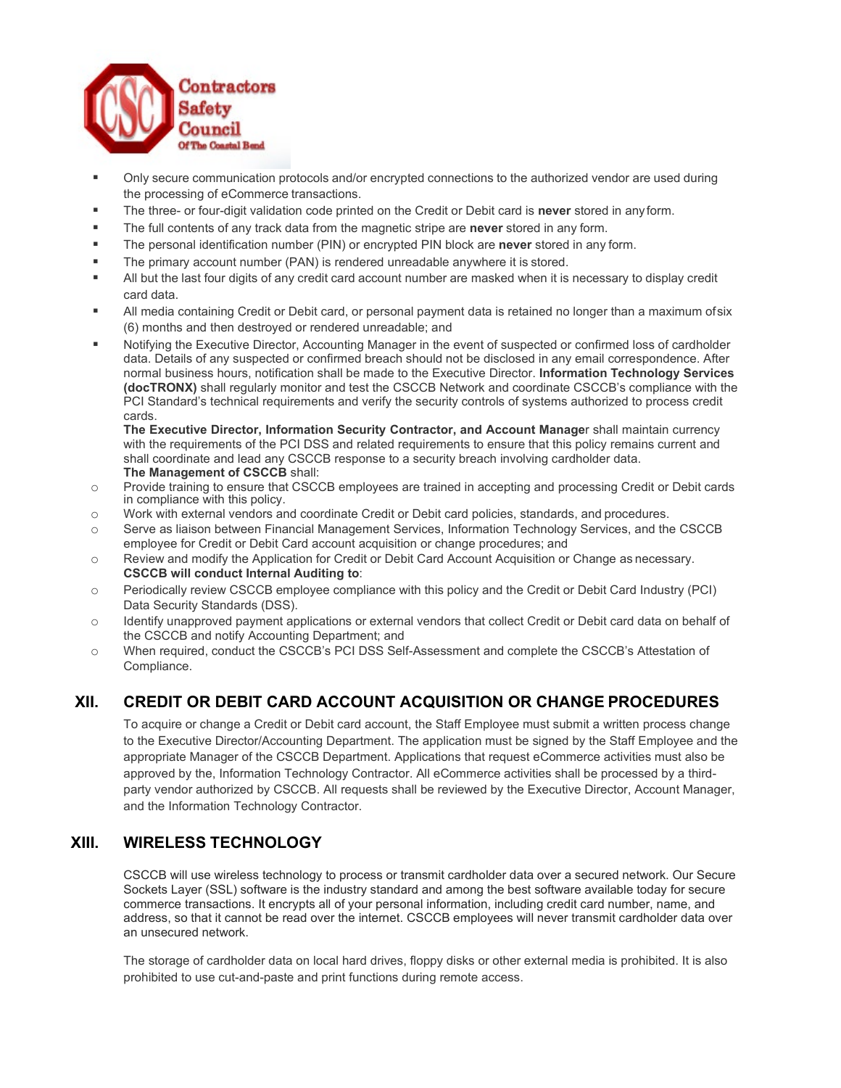

- Only secure communication protocols and/or encrypted connections to the authorized vendor are used during the processing of eCommerce transactions.
- The three- or four-digit validation code printed on the Credit or Debit card is **never** stored in any form.
- The full contents of any track data from the magnetic stripe are **never** stored in any form.
- The personal identification number (PIN) or encrypted PIN block are **never** stored in any form.
- The primary account number (PAN) is rendered unreadable anywhere it is stored.
- All but the last four digits of any credit card account number are masked when it is necessary to display credit card data.
- All media containing Credit or Debit card, or personal payment data is retained no longer than a maximum ofsix (6) months and then destroyed or rendered unreadable; and
- Notifying the Executive Director, Accounting Manager in the event of suspected or confirmed loss of cardholder data. Details of any suspected or confirmed breach should not be disclosed in any email correspondence. After normal business hours, notification shall be made to the Executive Director. **Information Technology Services (docTRONX)** shall regularly monitor and test the CSCCB Network and coordinate CSCCB's compliance with the PCI Standard's technical requirements and verify the security controls of systems authorized to process credit cards.

**The Executive Director, Information Security Contractor, and Account Manage**r shall maintain currency with the requirements of the PCI DSS and related requirements to ensure that this policy remains current and shall coordinate and lead any CSCCB response to a security breach involving cardholder data. **The Management of CSCCB** shall:

- o Provide training to ensure that CSCCB employees are trained in accepting and processing Credit or Debit cards in compliance with this policy.
- o Work with external vendors and coordinate Credit or Debit card policies, standards, and procedures.
- Serve as liaison between Financial Management Services, Information Technology Services, and the CSCCB employee for Credit or Debit Card account acquisition or change procedures; and
- o Review and modify the Application for Credit or Debit Card Account Acquisition or Change as necessary. **CSCCB will conduct Internal Auditing to**:
- o Periodically review CSCCB employee compliance with this policy and the Credit or Debit Card Industry (PCI) Data Security Standards (DSS).
- o Identify unapproved payment applications or external vendors that collect Credit or Debit card data on behalf of the CSCCB and notify Accounting Department; and
- o When required, conduct the CSCCB's PCI DSS Self-Assessment and complete the CSCCB's Attestation of Compliance.

## **XII. CREDIT OR DEBIT CARD ACCOUNT ACQUISITION OR CHANGE PROCEDURES**

To acquire or change a Credit or Debit card account, the Staff Employee must submit a written process change to the Executive Director/Accounting Department. The application must be signed by the Staff Employee and the appropriate Manager of the CSCCB Department. Applications that request eCommerce activities must also be approved by the, Information Technology Contractor. All eCommerce activities shall be processed by a thirdparty vendor authorized by CSCCB. All requests shall be reviewed by the Executive Director, Account Manager, and the Information Technology Contractor.

## **XIII. WIRELESS TECHNOLOGY**

CSCCB will use wireless technology to process or transmit cardholder data over a secured network. Our Secure Sockets Layer (SSL) software is the industry standard and among the best software available today for secure commerce transactions. It encrypts all of your personal information, including credit card number, name, and address, so that it cannot be read over the internet. CSCCB employees will never transmit cardholder data over an unsecured network.

The storage of cardholder data on local hard drives, floppy disks or other external media is prohibited. It is also prohibited to use cut-and-paste and print functions during remote access.